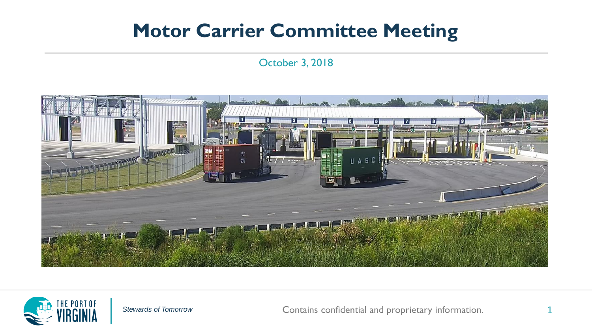#### **Motor Carrier Committee Meeting**

#### October 3, 2018





Stewards of Tomorrow **Contains confidential and proprietary information.**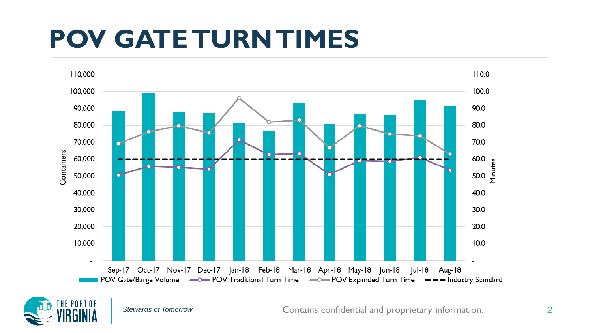#### **POV GATE TURN TIMES**



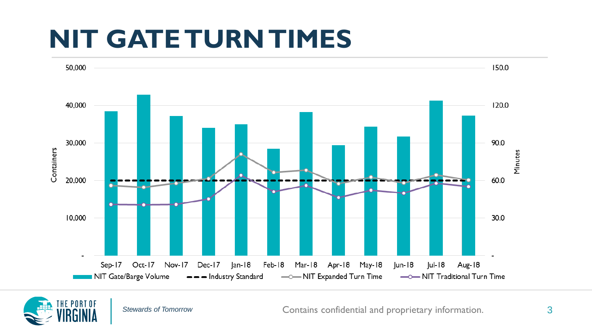#### **NIT GATE TURN TIMES**



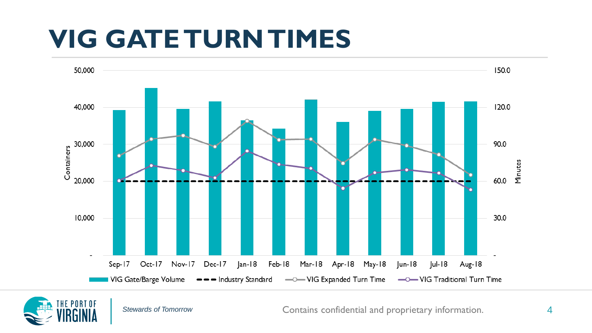#### **VIG GATE TURN TIMES**



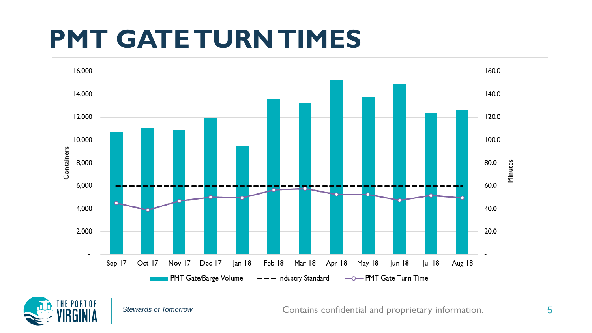#### **PMT GATE TURN TIMES**



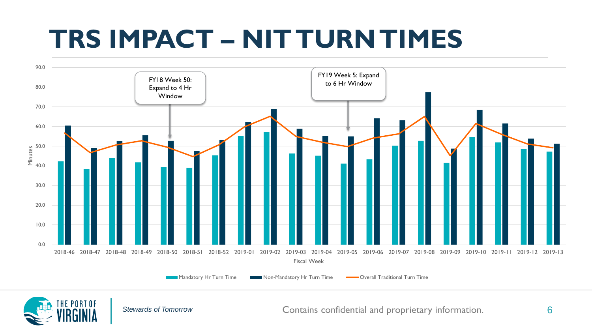### **TRS IMPACT – NIT TURN TIMES**



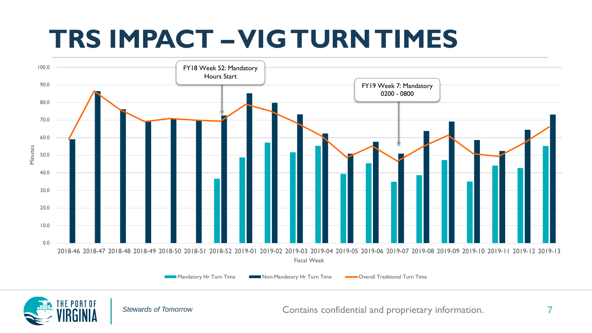### **TRS IMPACT –VIG TURN TIMES**



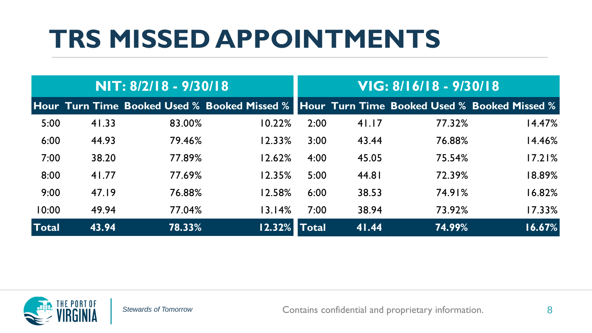### **TRS MISSED APPOINTMENTS**

| NIT: 8/2/18 - 9/30/18 |       |        |                                                                                           | VIG: 8/16/18 - 9/30/18 |       |        |        |
|-----------------------|-------|--------|-------------------------------------------------------------------------------------------|------------------------|-------|--------|--------|
|                       |       |        | Hour Turn Time Booked Used % Booked Missed % Hour Turn Time Booked Used % Booked Missed % |                        |       |        |        |
| 5:00                  | 41.33 | 83.00% | 10.22%                                                                                    | 2:00                   | 41.17 | 77.32% | 14.47% |
| 6:00                  | 44.93 | 79.46% | 12.33%                                                                                    | 3:00                   | 43.44 | 76.88% | 14.46% |
| 7:00                  | 38.20 | 77.89% | 12.62%                                                                                    | 4:00                   | 45.05 | 75.54% | 17.21% |
| 8:00                  | 41.77 | 77.69% | 12.35%                                                                                    | 5:00                   | 44.81 | 72.39% | 18.89% |
| 9:00                  | 47.19 | 76.88% | 12.58%                                                                                    | 6:00                   | 38.53 | 74.91% | 16.82% |
| 10:00                 | 49.94 | 77.04% | 13.14%                                                                                    | 7:00                   | 38.94 | 73.92% | 17.33% |
| Total                 | 43.94 | 78.33% | 12.32%                                                                                    | <b>Total</b>           | 41.44 | 74.99% | 16.67% |

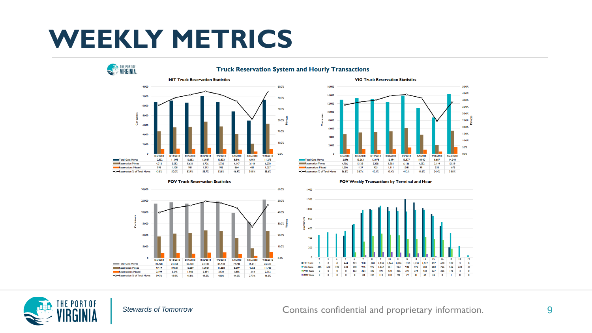#### **WEEKLY METRICS**











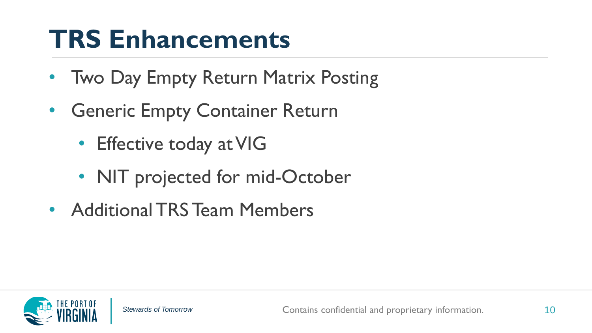#### **TRS Enhancements**

- Two Day Empty Return Matrix Posting
- Generic Empty Container Return
	- Effective today at VIG
	- NIT projected for mid-October
- Additional TRS Team Members

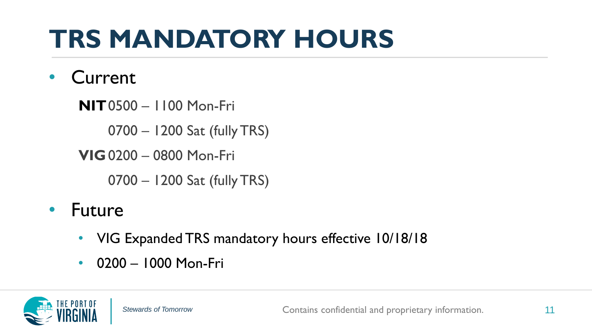## **TRS MANDATORY HOURS**

#### • Current

**NIT**0500 – 1100 Mon-Fri

0700 – 1200 Sat (fully TRS)

**VIG**0200 – 0800 Mon-Fri

0700 – 1200 Sat (fully TRS)

#### • Future

- VIG Expanded TRS mandatory hours effective 10/18/18
- 0200 1000 Mon-Fri

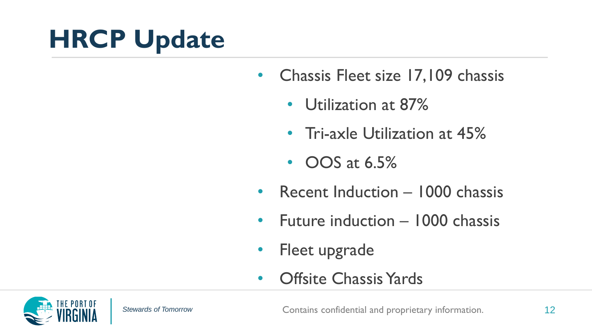### **HRCP Update**

- Chassis Fleet size 17,109 chassis
	- Utilization at 87%
	- Tri-axle Utilization at 45%
	- **OOS** at 6.5%
- Recent Induction 1000 chassis
- Future induction 1000 chassis
- Fleet upgrade
- Offsite Chassis Yards